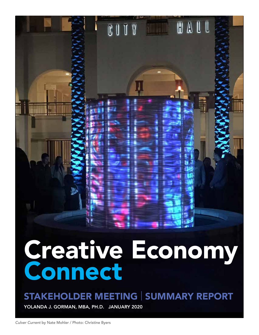# Creative Economy Connect

**THE BALL** 

CUIY

# STAKEHOLDER MEETING | SUMMARY REPORT

YOLANDA J. GORMAN, MBA, PH.D. JANUARY 2020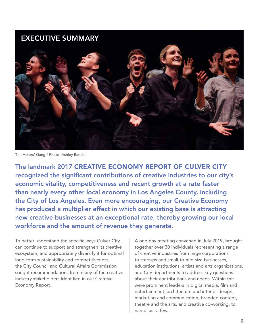# EXECUTIVE SUMMARY



The Actors' Gang / Photo: Ashley Randall

The landmark 2017 CREATIVE ECONOMY REPORT OF CULVER CITY recognized the significant contributions of creative industries to our city's economic vitality, competitiveness and recent growth at a rate faster than nearly every other local economy in Los Angeles County, including the City of Los Angeles. Even more encouraging, our Creative Economy has produced a multiplier effect in which our existing base is attracting new creative businesses at an exceptional rate, thereby growing our local workforce and the amount of revenue they generate.

To better understand the specific ways Culver City can continue to support and strengthen its creative ecosystem, and appropriately diversify it for optimal long-term sustainability and competitiveness, the City Council and Cultural Affairs Commission sought recommendations from many of the creative industry stakeholders identified in our Creative Economy Report.

A one-day meeting convened in July 2019, brought together over 30 individuals representing a range of creative industries from large corporations to startups and small-to-mid size businesses, education institutions, artists and arts organizations, and City departments to address key questions about their contributions and needs. Within this were prominent leaders in digital media, film and entertainment, architecture and interior design, marketing and communication, branded content, theatre and the arts, and creative co-working, to name just a few.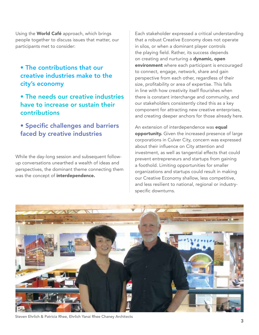Using the World Café approach, which brings people together to discuss issues that matter, our participants met to consider:

#### • The contributions that our creative industries make to the city's economy

#### • The needs our creative industries have to increase or sustain their contributions

#### • Specific challenges and barriers faced by creative industries

While the day-long session and subsequent followup conversations unearthed a wealth of ideas and perspectives, the dominant theme connecting them was the concept of *interdependence*.

Each stakeholder expressed a critical understanding that a robust Creative Economy does not operate in silos, or when a dominant player controls the playing field. Rather, its success depends on creating and nurturing a **dynamic**, open environment where each participant is encouraged to connect, engage, network, share and gain perspective from each other, regardless of their size, profitability or area of expertise. This falls in line with how creativity itself flourishes when there is constant interchange and community, and our stakeholders consistently cited this as a key component for attracting new creative enterprises, and creating deeper anchors for those already here.

An extension of interdependence was **equal** opportunity. Given the increased presence of large corporations in Culver City, concern was expressed about their influence on City attention and investment, as well as tangential effects that could prevent entrepreneurs and startups from gaining a foothold. Limiting opportunities for smaller organizations and startups could result in making our Creative Economy shallow, less competitive, and less resilient to national, regional or industryspecific downturns.



Steven Ehrlich & Patricia Rhee, Ehrlich Yanai Rhee Chaney Architects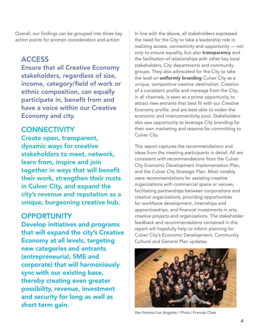Overall, our findings can be grouped into three key action points for prompt consideration and action:

# ACCESS

Ensure that all Creative Economy stakeholders, regardless of size, income, category/field of work or ethnic composition, can equally participate in, benefit from and have a voice within our Creative Economy and city.

# **CONNECTIVITY**

Create open, transparent, dynamic ways for creative stakeholders to meet, network, learn from, inspire and join together in ways that will benefit their work, strengthen their roots in Culver City, and expand the city's revenue and reputation as a unique, burgeoning creative hub.

#### **OPPORTUNITY**

Develop initiatives and programs that will expand the city's Creative Economy at all levels, targeting new categories and entrants (entrepreneurial, SME and corporate) that will harmoniously sync with our existing base, thereby creating even greater possibility, revenue, investment and security for long as well as short term gain.

In line with the above, all stakeholders expressed the need for the City to take a leadership role in realizing access, connectivity and opportunity — not only to ensure equality, but also **transparency** and the facilitation of relationships with other key local stakeholders, City departments and community groups. They also advocated for the City to take the lead on **uniformly branding** Culver City as a unique, competitive creative destination. Creation of a consistent profile and message from the City, in all channels, is seen as a prime opportunity to attract new entrants that best fit with our Creative Economy profile, and are best able to widen the economic and interconnectivity pool. Stakeholders also saw opportunity to leverage City branding for their own marketing and reasons for committing to Culver City.

This report captures the recommendations and ideas from the meeting participants in detail. All are consistent with recommendations from the Culver City Economic Development Implementation Plan, and the Culver City Strategic Plan. Most notably were recommendations for assisting creative organizations with commercial space or venues, facilitating partnerships between corporations and creative organizations, providing opportunities for workforce development, internships and apprenticeships, and financial investments in arts, creative projects and organizations. The stakeholder feedback and recommendations contained in this report will hopefully help to inform planning for Culver City's Economic Development, Community Cultural and General Plan updates.



Vox Femina Los Angeles / Photo: Frances Chee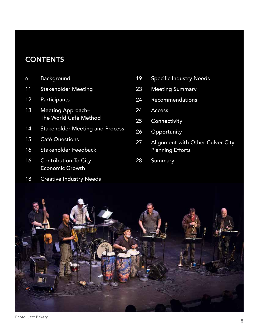# **CONTENTS**

- Background
- Stakeholder Meeting
- Participants
- Meeting Approach– The World Café Method
- Stakeholder Meeting and Process
- Café Questions
- Stakeholder Feedback
- Contribution To City Economic Growth
- Creative Industry Needs
- 19 Specific Industry Needs
- Meeting Summary
- Recommendations
- Access
- Connectivity
- Opportunity
- Alignment with Other Culver City Planning Efforts
- Summary

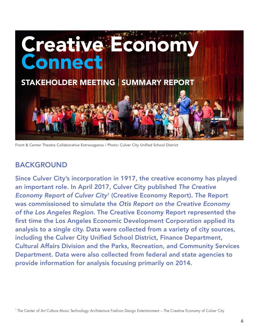

Front & Center Theatre Collaborative Extravaganza / Photo: Culver City Unified School District

# BACKGROUND

Since Culver City's incorporation in 1917, the creative economy has played an important role. In April 2017, Culver City published *The Creative Economy Report of Culver City1* (Creative Economy Report). The Report was commissioned to simulate the *Otis Report on the Creative Economy of the Los Angeles Region*. The Creative Economy Report represented the first time the Los Angeles Economic Development Corporation applied its analysis to a single city. Data were collected from a variety of city sources, including the Culver City Unified School District, Finance Department, Cultural Affairs Division and the Parks, Recreation, and Community Services Department. Data were also collected from federal and state agencies to provide information for analysis focusing primarily on 2014.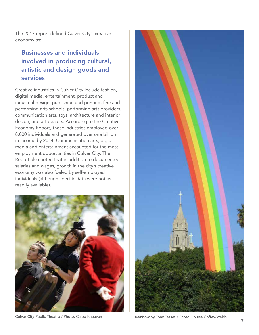The 2017 report defined Culver City's creative economy as:

### Businesses and individuals involved in producing cultural, artistic and design goods and services

Creative industries in Culver City include fashion, digital media, entertainment, product and industrial design, publishing and printing, fine and performing arts schools, performing arts providers, communication arts, toys, architecture and interior design, and art dealers. According to the Creative Economy Report, these industries employed over 8,000 individuals and generated over one billion in income by 2014. Communication arts, digital media and entertainment accounted for the most employment opportunities in Culver City. The Report also noted that in addition to documented salaries and wages, growth in the city's creative economy was also fueled by self-employed individuals (although specific data were not as readily available).



Culver City Public Theatre / Photo: Caleb Kneuven *Rainbow* by Tony Tasset / Photo: Louise Coffey-Webb

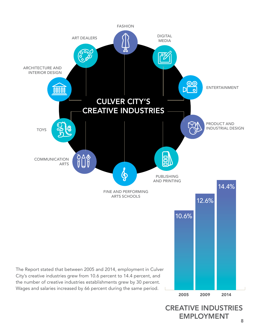

# CREATIVE INDUSTRIES EMPLOYMENT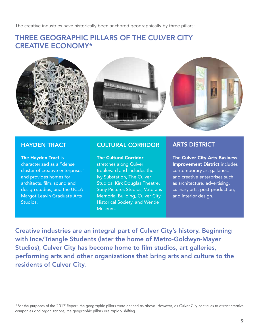The creative industries have historically been anchored geographically by three pillars:

#### THREE GEOGRAPHIC PILLARS OF THE CULVER CITY CREATIVE ECONOMY\*



The Hayden Tract is characterized as a "dense cluster of creative enterprises" and provides homes for architects, film, sound and design studios, and the UCLA Margot Leavin Graduate Arts Studios.

#### HAYDEN TRACT CULTURAL CORRIDOR ARTS DISTRICT

#### The Cultural Corridor

stretches along Culver Boulevard and includes the Ivy Substation, The Culver Studios, Kirk Douglas Theatre, Sony Pictures Studios, Veterans Memorial Building, Culver City Historical Society, and Wende Museum.

The Culver City Arts Business Improvement District includes contemporary art galleries, and creative enterprises such as architecture, advertising, culinary arts, post-production, and interior design.

Creative industries are an integral part of Culver City's history. Beginning with Ince/Triangle Students (later the home of Metro-Goldwyn-Mayer Studios), Culver City has become home to film studios, art galleries, performing arts and other organizations that bring arts and culture to the residents of Culver City.

\*For the purposes of the 2017 Report, the geographic pillars were defined as above. However, as Culver City continues to attract creative companies and organizations, the geographic pillars are rapidly shifting.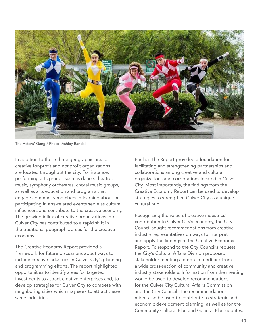

The Actors' Gang / Photo: Ashley Randall

In addition to these three geographic areas, creative for-profit and nonprofit organizations are located throughout the city. For instance, performing arts groups such as dance, theatre, music, symphony orchestras, choral music groups, as well as arts education and programs that engage community members in learning about or participating in arts-related events serve as cultural influencers and contribute to the creative economy. The growing influx of creative organizations into Culver City has contributed to a rapid shift in the traditional geographic areas for the creative economy.

The Creative Economy Report provided a framework for future discussions about ways to include creative industries in Culver City's planning and programming efforts. The report highlighted opportunities to identify areas for targeted investments to attract creative enterprises and, to develop strategies for Culver City to compete with neighboring cities which may seek to attract these same industries.

Further, the Report provided a foundation for facilitating and strengthening partnerships and collaborations among creative and cultural organizations and corporations located in Culver City. Most importantly, the findings from the Creative Economy Report can be used to develop strategies to strengthen Culver City as a unique cultural hub.

Recognizing the value of creative industries' contribution to Culver City's economy, the City Council sought recommendations from creative industry representatives on ways to interpret and apply the findings of the Creative Economy Report. To respond to the City Council's request, the City's Cultural Affairs Division proposed stakeholder meetings to obtain feedback from a wide cross-section of community and creative industry stakeholders. Information from the meeting would be used to develop recommendations for the Culver City Cultural Affairs Commission and the City Council. The recommendations might also be used to contribute to strategic and economic development planning, as well as for the Community Cultural Plan and General Plan updates.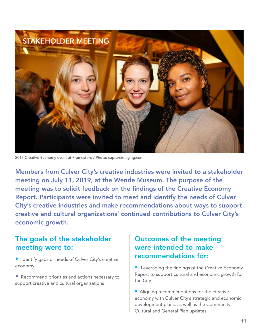

2017 Creative Economy event at Framestore / Photo: captureimaging.com

Members from Culver City's creative industries were invited to a stakeholder meeting on July 11, 2019, at the Wende Museum. The purpose of the meeting was to solicit feedback on the findings of the Creative Economy Report. Participants were invited to meet and identify the needs of Culver City's creative industries and make recommendations about ways to support creative and cultural organizations' continued contributions to Culver City's economic growth.

#### The goals of the stakeholder meeting were to:

- Identify gaps or needs of Culver City's creative economy
- Recommend priorities and actions necessary to support creative and cultural organizations

#### Outcomes of the meeting were intended to make recommendations for:

• Leveraging the findings of the Creative Economy Report to support cultural and economic growth for the City

• Aligning recommendations for the creative economy with Culver City's strategic and economic development plans, as well as the Community Cultural and General Plan updates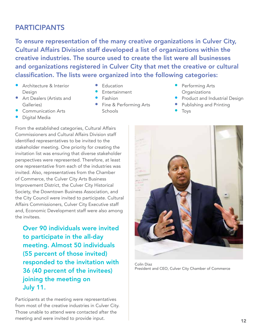# PARTICIPANTS

To ensure representation of the many creative organizations in Culver City, Cultural Affairs Division staff developed a list of organizations within the creative industries. The source used to create the list were all businesses and organizations registered in Culver City that met the creative or cultural classification. The lists were organized into the following categories:

- **•** Architecture & Interior Design
- Art Dealers (Artists and Galleries)
- Communication Arts
- Digital Media
- **Fducation**
- **Fntertainment**
- Fashion
- Fine & Performing Arts Schools
- Performing Arts **Organizations**
- **•** Product and Industrial Design
- Publishing and Printing
- **Toys**

From the established categories, Cultural Affairs Commissioners and Cultural Affairs Division staff identified representatives to be invited to the stakeholder meeting. One priority for creating the invitation list was ensuring that diverse stakeholder perspectives were represented. Therefore, at least one representative from each of the industries was invited. Also, representatives from the Chamber of Commerce, the Culver City Arts Business Improvement District, the Culver City Historical Society, the Downtown Business Association, and the City Council were invited to participate. Cultural Affairs Commissioners, Culver City Executive staff and, Economic Development staff were also among the invitees.

Over 90 individuals were invited to participate in the all-day meeting. Almost 50 individuals (55 percent of those invited) responded to the invitation with 36 (40 percent of the invitees) joining the meeting on July 11.

Participants at the meeting were representatives from most of the creative industries in Culver City. Those unable to attend were contacted after the meeting and were invited to provide input.



Colin Diaz President and CEO, Culver City Chamber of Commerce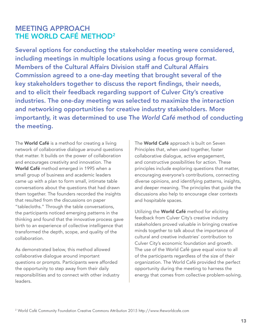# MEETING APPROACH THE WORLD CAFÉ METHOD<sup>2</sup>

Several options for conducting the stakeholder meeting were considered, including meetings in multiple locations using a focus group format. Members of the Cultural Affairs Division staff and Cultural Affairs Commission agreed to a one-day meeting that brought several of the key stakeholders together to discuss the report findings, their needs, and to elicit their feedback regarding support of Culver City's creative industries. The one-day meeting was selected to maximize the interaction and networking opportunities for creative industry stakeholders. More importantly, it was determined to use The *World Café* method of conducting the meeting.

The **World Café** is a method for creating a living network of collaborative dialogue around questions that matter. It builds on the power of collaboration and encourages creativity and innovation. The World Café method emerged in 1995 when a small group of business and academic leaders came up with a plan to form small, intimate table conversations about the questions that had drawn them together. The founders recorded the insights that resulted from the discussions on paper "tablecloths." Through the table conversations, the participants noticed emerging patterns in the thinking and found that the innovative process gave birth to an experience of collective intelligence that transformed the depth, scope, and quality of the collaboration.

As demonstrated below, this method allowed collaborative dialogue around important questions or prompts. Participants were afforded the opportunity to step away from their daily responsibilities and to connect with other industry leaders.

The **World Café** approach is built on Seven Principles that, when used together, foster collaborative dialogue, active engagement, and constructive possibilities for action. These principles include exploring questions that matter, encouraging everyone's contributions, connecting diverse opinions, and identifying patterns, insights, and deeper meaning. The principles that guide the discussions also help to encourage clear contexts and hospitable spaces.

Utilizing the **World Café** method for eliciting feedback from Culver City's creative industry stakeholders proved valuable in bringing creative minds together to talk about the importance of cultural and creative industries' contribution to Culver City's economic foundation and growth. The use of the World Café gave equal voice to all of the participants regardless of the size of their organization. The World Café provided the perfect opportunity during the meeting to harness the energy that comes from collective problem-solving.

2 World Café Community Foundation Creative Commons Attribution 2015 http://www.theworldcafe.com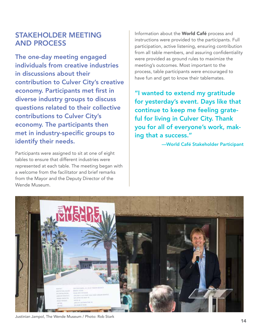### STAKEHOLDER MEETING AND PROCESS

The one-day meeting engaged individuals from creative industries in discussions about their contribution to Culver City's creative economy. Participants met first in diverse industry groups to discuss questions related to their collective contributions to Culver City's economy. The participants then met in industry-specific groups to identify their needs.

Participants were assigned to sit at one of eight tables to ensure that different industries were represented at each table. The meeting began with a welcome from the facilitator and brief remarks from the Mayor and the Deputy Director of the Wende Museum.

Information about the **World Café** process and instructions were provided to the participants. Full participation, active listening, ensuring contribution from all table members, and assuring confidentiality were provided as ground rules to maximize the meeting's outcomes. Most important to the process, table participants were encouraged to have fun and get to know their tablemates.

"I wanted to extend my gratitude for yesterday's event. Days like that continue to keep me feeling grateful for living in Culver City. Thank you for all of everyone's work, making that a success."

—World Café Stakeholder Participant



Justinian Jampol, The Wende Museum / Photo: Rob Stark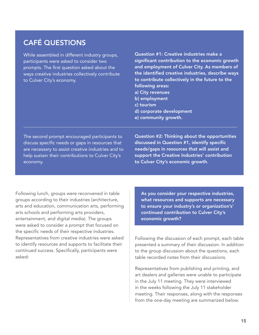# CAFÉ QUESTIONS

While assembled in different industry groups, participants were asked to consider two prompts. The first question asked about the ways creative industries collectively contribute to Culver City's economy.

Question #1: Creative industries make a significant contribution to the economic growth and employment of Culver City. As members of the identified creative industries, describe ways to contribute collectively in the future to the following areas: a) City revenues b) employment c) tourism

- d) corporate development
- e) community growth.

The second prompt encouraged participants to discuss specific needs or gaps in resources that are necessary to assist creative industries and to help sustain their contributions to Culver City's economy.

Question #2: Thinking about the opportunities discussed in Question #1, identify specific needs/gaps in resources that will assist and support the Creative Industries' contribution to Culver City's economic growth.

Following lunch, groups were reconvened in table groups according to their industries (architecture, arts and education, communication arts, performing arts schools and performing arts providers, entertainment, and digital media). The groups were asked to consider a prompt that focused on the specific needs of their respective industries. Representatives from creative industries were asked to identify resources and supports to facilitate their continued success. Specifically, participants were asked:

As you consider your respective industries, what resources and supports are necessary to ensure your industry's or organization's' continued contribution to Culver City's economic growth?

Following the discussion of each prompt, each table presented a summary of their discussion. In addition to the group discussion about the questions, each table recorded notes from their discussions.

Representatives from publishing and printing, and art dealers and galleries were unable to participate in the July 11 meeting. They were interviewed in the weeks following the July 11 stakeholder meeting. Their responses, along with the responses from the one-day meeting are summarized below.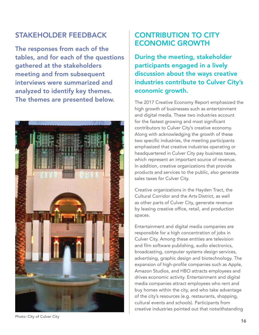# STAKEHOLDER FEEDBACK

The responses from each of the tables, and for each of the questions gathered at the stakeholders meeting and from subsequent interviews were summarized and analyzed to identify key themes. The themes are presented below.



Photo: City of Culver City

# CONTRIBUTION TO CITY ECONOMIC GROWTH

During the meeting, stakeholder participants engaged in a lively discussion about the ways creative industries contribute to Culver City's economic growth.

The 2017 Creative Economy Report emphasized the high growth of businesses such as entertainment and digital media. These two industries account for the fastest growing and most significant contributors to Culver City's creative economy. Along with acknowledging the growth of these two specific industries, the meeting participants emphasized that creative industries operating or headquartered in Culver City pay business taxes, which represent an important source of revenue. In addition, creative organizations that provide products and services to the public, also generate sales taxes for Culver City.

Creative organizations in the Hayden Tract, the Cultural Corridor and the Arts District, as well as other parts of Culver City, generate revenue by leasing creative office, retail, and production spaces.

Entertainment and digital media companies are responsible for a high concentration of jobs in Culver City. Among these entities are television and film software publishing, audio electronics, broadcasting, computer systems design services, advertising, graphic design and biotechnology. The expansion of high-profile companies such as Apple, Amazon Studios, and HBO attracts employees and drives economic activity. Entertainment and digital media companies attract employees who rent and buy homes within the city, and who take advantage of the city's resources (e.g. restaurants, shopping, cultural events and schools). Participants from creative industries pointed out that notwithstanding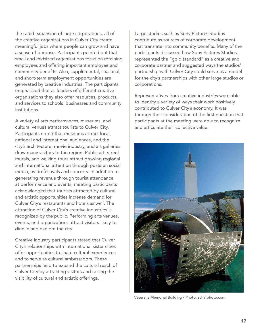the rapid expansion of large corporations, all of the creative organizations in Culver City create meaningful jobs where people can grow and have a sense of purpose. Participants pointed out that small and midsized organizations focus on retaining employees and offering important employee and community benefits. Also, supplemental, seasonal, and short-term employment opportunities are generated by creative industries. The participants emphasized that as leaders of different creative organizations they also offer resources, products, and services to schools, businesses and community institutions.

A variety of arts performances, museums, and cultural venues attract tourists to Culver City. Participants noted that museums attract local, national and international audiences, and the city's architecture, movie industry, and art galleries draw many visitors to the region. Public art, street murals, and walking tours attract growing regional and international attention through posts on social media, as do festivals and concerts. In addition to generating revenue through tourist attendance at performance and events, meeting participants acknowledged that tourists attracted by cultural and artistic opportunities increase demand for Culver City's restaurants and hotels as well. The attraction of Culver City's creative industries is recognized by the public. Performing arts venues, events, and organizations attract visitors likely to dine in and explore the city.

Creative industry participants stated that Culver City's relationships with international sister cities offer opportunities to share cultural experiences and to serve as cultural ambassadors. These partnerships help to expand the cultural reach of Culver City by attracting visitors and raising the visibility of cultural and artistic offerings.

Large studios such as Sony Pictures Studios contribute as sources of corporate development that translate into community benefits. Many of the participants discussed how Sony Pictures Studios represented the "gold standard" as a creative and corporate partner and suggested ways the studios' partnership with Culver City could serve as a model for the city's partnerships with other large studios or corporations.

Representatives from creative industries were able to identify a variety of ways their work positively contributed to Culver City's economy. It was through their consideration of the first question that participants at the meeting were able to recognize and articulate their collective value.



Veterans Memorial Building / Photo: schafphoto.com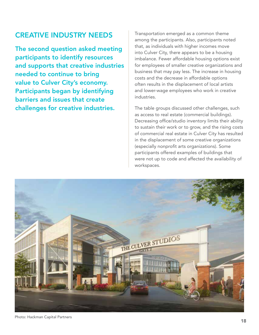### CREATIVE INDUSTRY NEEDS

The second question asked meeting participants to identify resources and supports that creative industries needed to continue to bring value to Culver City's economy. Participants began by identifying barriers and issues that create challenges for creative industries.

Transportation emerged as a common theme among the participants. Also, participants noted that, as individuals with higher incomes move into Culver City, there appears to be a housing imbalance. Fewer affordable housing options exist for employees of smaller creative organizations and business that may pay less. The increase in housing costs and the decrease in affordable options often results in the displacement of local artists and lower-wage employees who work in creative industries.

The table groups discussed other challenges, such as access to real estate (commercial buildings). Decreasing office/studio inventory limits their ability to sustain their work or to grow, and the rising costs of commercial real estate in Culver City has resulted in the displacement of some creative organizations (especially nonprofit arts organizations). Some participants offered examples of buildings that were not up to code and affected the availability of workspaces.



Photo: Hackman Capital Partners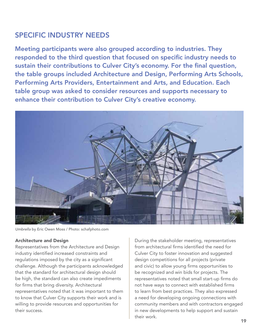# SPECIFIC INDUSTRY NEEDS

Meeting participants were also grouped according to industries. They responded to the third question that focused on specific industry needs to sustain their contributions to Culver City's economy. For the final question, the table groups included Architecture and Design, Performing Arts Schools, Performing Arts Providers, Entertainment and Arts, and Education. Each table group was asked to consider resources and supports necessary to enhance their contribution to Culver City's creative economy.



*Umbrella* by Eric Owen Moss / Photo: schafphoto.com

#### Architecture and Design

Representatives from the Architecture and Design industry identified increased constraints and regulations imposed by the city as a significant challenge. Although the participants acknowledged that the standard for architectural design should be high, the standard can also create impediments for firms that bring diversity. Architectural representatives noted that it was important to them to know that Culver City supports their work and is willing to provide resources and opportunities for their success.

During the stakeholder meeting, representatives from architectural firms identified the need for Culver City to foster innovation and suggested design competitions for all projects (private and civic) to allow young firms opportunities to be recognized and win bids for projects. The representatives noted that small start-up firms do not have ways to connect with established firms to learn from best practices. They also expressed a need for developing ongoing connections with community members and with contractors engaged in new developments to help support and sustain their work.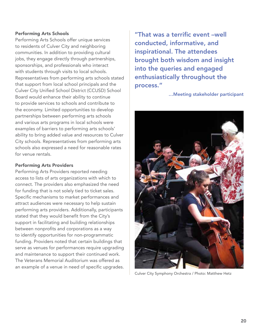#### Performing Arts Schools

Performing Arts Schools offer unique services to residents of Culver City and neighboring communities. In addition to providing cultural jobs, they engage directly through partnerships, sponsorships, and professionals who interact with students through visits to local schools. Representatives from performing arts schools stated that support from local school principals and the Culver City Unified School District (CCUSD) School Board would enhance their ability to continue to provide services to schools and contribute to the economy. Limited opportunities to develop partnerships between performing arts schools and various arts programs in local schools were examples of barriers to performing arts schools' ability to bring added value and resources to Culver City schools. Representatives from performing arts schools also expressed a need for reasonable rates for venue rentals.

#### Performing Arts Providers

Performing Arts Providers reported needing access to lists of arts organizations with which to connect. The providers also emphasized the need for funding that is not solely tied to ticket sales. Specific mechanisms to market performances and attract audiences were necessary to help sustain performing arts providers. Additionally, participants stated that they would benefit from the City's support in facilitating and building relationships between nonprofits and corporations as a way to identify opportunities for non-programmatic funding. Providers noted that certain buildings that serve as venues for performances require upgrading and maintenance to support their continued work. The Veterans Memorial Auditorium was offered as an example of a venue in need of specific upgrades.

"That was a terrific event –well conducted, informative, and inspirational. The attendees brought both wisdom and insight into the queries and engaged enthusiastically throughout the process."

…Meeting stakeholder participant



Culver City Symphony Orchestra / Photo: Matthew Hetz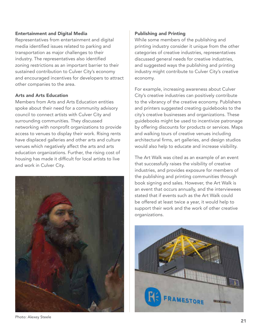#### Entertainment and Digital Media

Representatives from entertainment and digital media identified issues related to parking and transportation as major challenges to their industry. The representatives also identified zoning restrictions as an important barrier to their sustained contribution to Culver City's economy and encouraged incentives for developers to attract other companies to the area.

#### Arts and Arts Education

Members from Arts and Arts Education entities spoke about their need for a community advisory council to connect artists with Culver City and surrounding communities. They discussed networking with nonprofit organizations to provide access to venues to display their work. Rising rents have displaced galleries and other arts and culture venues which negatively affect the arts and arts education organizations. Further, the rising cost of housing has made it difficult for local artists to live and work in Culver City.



Photo: Alexey Steele

#### Publishing and Printing

While some members of the publishing and printing industry consider it unique from the other categories of creative industries, representatives discussed general needs for creative industries, and suggested ways the publishing and printing industry might contribute to Culver City's creative economy.

For example, increasing awareness about Culver City's creative industries can positively contribute to the vibrancy of the creative economy. Publishers and printers suggested creating guidebooks to the city's creative businesses and organizations. These guidebooks might be used to incentivize patronage by offering discounts for products or services. Maps and walking tours of creative venues including architectural firms, art galleries, and design studios would also help to educate and increase visibility.

The Art Walk was cited as an example of an event that successfully raises the visibility of creative industries, and provides exposure for members of the publishing and printing communities through book signing and sales. However, the Art Walk is an event that occurs annually, and the interviewees stated that if events such as the Art Walk could be offered at least twice a year, it would help to support their work and the work of other creative organizations.

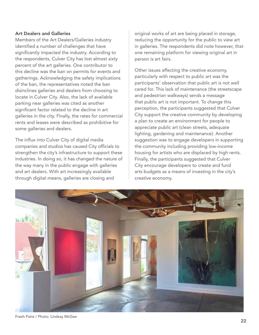#### Art Dealers and Galleries

Members of the Art Dealers/Galleries industry identified a number of challenges that have significantly impacted the industry. According to the respondents, Culver City has lost almost sixty percent of the art galleries. One contributor to this decline was the ban on permits for events and gatherings. Acknowledging the safety implications of the ban, the representatives noted the ban disinclines galleries and dealers from choosing to locate in Culver City. Also, the lack of available parking near galleries was cited as another significant factor related to the decline in art galleries in the city. Finally, the rates for commercial rents and leases were described as prohibitive for some galleries and dealers.

The influx into Culver City of digital media companies and studios has caused City officials to strengthen the city's infrastructure to support these industries. In doing so, it has changed the nature of the way many in the public engage with galleries and art dealers. With art increasingly available through digital means, galleries are closing and

original works of art are being placed in storage, reducing the opportunity for the public to view art in galleries. The respondents did note however, that one remaining platform for viewing original art in person is art fairs.

Other issues affecting the creative economy, particularly with respect to public art was the participants' observation that public art is not well cared for. This lack of maintenance (the streetscape and pedestrian walkways) sends a message that public art is not important. To change this perception, the participants suggested that Culver City support the creative community by developing a plan to create an environment for people to appreciate public art (clean streets, adequate lighting, gardening and maintenance). Another suggestion was to engage developers in supporting the community including providing low-income housing for artists who are displaced by high rents. Finally, the participants suggested that Culver City encourage developers to create and fund arts budgets as a means of investing in the city's creative economy.



Fresh Paint / Photo: Lindsay McGee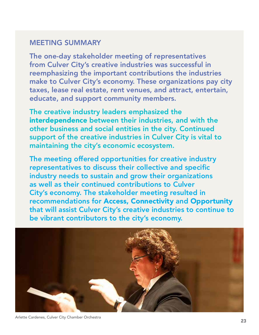# MEETING SUMMARY

The one-day stakeholder meeting of representatives from Culver City's creative industries was successful in reemphasizing the important contributions the industries make to Culver City's economy. These organizations pay city taxes, lease real estate, rent venues, and attract, entertain, educate, and support community members.

The creative industry leaders emphasized the interdependence between their industries, and with the other business and social entities in the city. Continued support of the creative industries in Culver City is vital to maintaining the city's economic ecosystem.

The meeting offered opportunities for creative industry representatives to discuss their collective and specific industry needs to sustain and grow their organizations as well as their continued contributions to Culver City's economy. The stakeholder meeting resulted in recommendations for Access, Connectivity and Opportunity that will assist Culver City's creative industries to continue to be vibrant contributors to the city's economy.



Arlette Cardenes, Culver City Chamber Orchestra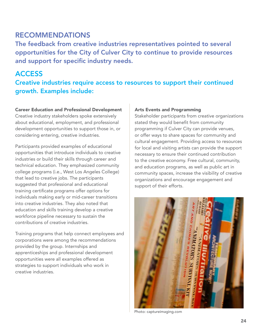#### RECOMMENDATIONS

The feedback from creative industries representatives pointed to several opportunities for the City of Culver City to continue to provide resources and support for specific industry needs.

#### ACCESS

Creative industries require access to resources to support their continued growth. Examples include:

#### Career Education and Professional Development

Creative industry stakeholders spoke extensively about educational, employment, and professional development opportunities to support those in, or considering entering, creative industries.

Participants provided examples of educational opportunities that introduce individuals to creative industries or build their skills through career and technical education. They emphasized community college programs (i.e., West Los Angeles College) that lead to creative jobs. The participants suggested that professional and educational training certificate programs offer options for individuals making early or mid-career transitions into creative industries. They also noted that education and skills training develop a creative workforce pipeline necessary to sustain the contributions of creative industries.

Training programs that help connect employees and corporations were among the recommendations provided by the group. Internships and apprenticeships and professional development opportunities were all examples offered as strategies to support individuals who work in creative industries.

#### Arts Events and Programming

Stakeholder participants from creative organizations stated they would benefit from community programming if Culver City can provide venues, or offer ways to share spaces for community and cultural engagement. Providing access to resources for local and visiting artists can provide the support necessary to ensure their continued contribution to the creative economy. Free cultural, community, and education programs, as well as public art in community spaces, increase the visibility of creative organizations and encourage engagement and support of their efforts.



Photo: captureimaging.com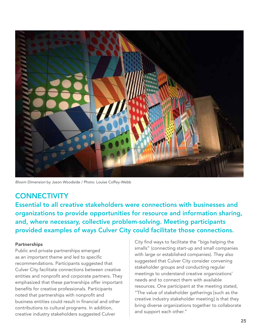

*Bloom Dimension* by Jason Woodside / Photo: Louise Coffey-Webb

#### **CONNECTIVITY**

Essential to all creative stakeholders were connections with businesses and organizations to provide opportunities for resource and information sharing, and, where necessary, collective problem-solving. Meeting participants provided examples of ways Culver City could facilitate those connections.

#### Partnerships

Public and private partnerships emerged as an important theme and led to specific recommendations. Participants suggested that Culver City facilitate connections between creative entities and nonprofit and corporate partners. They emphasized that these partnerships offer important benefits for creative professionals. Participants noted that partnerships with nonprofit and business entities could result in financial and other contributions to cultural programs. In addition, creative industry stakeholders suggested Culver

City find ways to facilitate the "bigs helping the smalls" (connecting start-up and small companies with large or established companies). They also suggested that Culver City consider convening stakeholder groups and conducting regular meetings to understand creative organizations' needs and to connect them with available resources. One participant at the meeting stated, "The value of stakeholder gatherings [such as the creative industry stakeholder meeting] is that they bring diverse organizations together to collaborate and support each other."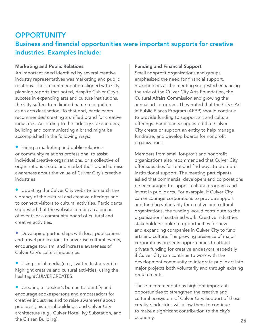# **OPPORTUNITY** Business and financial opportunities were important supports for creative industries. Examples include:

#### Marketing and Public Relations

An important need identified by several creative industry representatives was marketing and public relations. Their recommendation aligned with City planning reports that noted, despite Culver City's success in expanding arts and culture institutions, the City suffers from limited name recognition as an arts destination. To that end, participants recommended creating a unified brand for creative industries. According to the industry stakeholders, building and communicating a brand might be accomplished in the following ways:

• Hiring a marketing and public relations or community relations professional to assist individual creative organizations, or a collective of organizations create and market their brand to raise awareness about the value of Culver City's creative industries.

• Updating the Culver City website to match the vibrancy of the cultural and creative offerings and to connect visitors to cultural activities. Participants suggested that the website contain a calendar of events or a community board of cultural and creative activities.

• Developing partnerships with local publications and travel publications to advertise cultural events, encourage tourism, and increase awareness of Culver City's cultural industries.

• Using social media (e.g., Twitter, Instagram) to highlight creative and cultural activities, using the hashtag #CULVERCREATES.

• Creating a speaker's bureau to identify and encourage spokespersons and ambassadors for creative industries and to raise awareness about public art, historical buildings, and Culver City architecture (e.g., Culver Hotel, Ivy Substation, and the Citizen Building).

#### Funding and Financial Support

Small nonprofit organizations and groups emphasized the need for financial support. Stakeholders at the meeting suggested enhancing the role of the Culver City Arts Foundation, the Cultural Affairs Commission and growing the annual arts program. They noted that the City's Art in Public Places Program (APPP) should continue to provide funding to support art and cultural offerings. Participants suggested that Culver City create or support an entity to help manage, fundraise, and develop boards for nonprofit organizations.

Members from small for-profit and nonprofit organizations also recommended that Culver City offer subsidies for rent and find ways to promote institutional support. The meeting participants asked that commercial developers and corporations be encouraged to support cultural programs and invest in public arts. For example, if Culver City can encourage corporations to provide support and funding voluntarily for creative and cultural organizations, the funding would contribute to the organizations' sustained work. Creative industries stakeholders spoke to opportunities for new and expanding companies in Culver City to fund arts and culture. The growing presence of major corporations presents opportunities to attract private funding for creative endeavors, especially if Culver City can continue to work with the development community to integrate public art into major projects both voluntarily and through existing requirements.

These recommendations highlight important opportunities to strengthen the creative and cultural ecosystem of Culver City. Support of these creative industries will allow them to continue to make a significant contribution to the city's economy.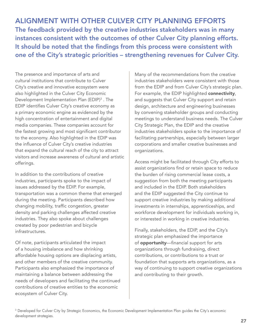ALIGNMENT WITH OTHER CULVER CITY PLANNING EFFORTS The feedback provided by the creative industries stakeholders was in many instances consistent with the outcomes of other Culver City planning efforts. It should be noted that the findings from this process were consistent with one of the City's strategic priorities – strengthening revenues for Culver City.

The presence and importance of arts and cultural institutions that contribute to Culver City's creative and innovative ecosystem were also highlighted in the Culver City Economic Development Implementation Plan (EDIP) $^3$  . The EDIP identifies Culver City's creative economy as a primary economic engine as evidenced by the high concentration of entertainment and digital media companies. These companies account for the fastest growing and most significant contributor to the economy. Also highlighted in the EDIP was the influence of Culver City's creative industries that expand the cultural reach of the city to attract visitors and increase awareness of cultural and artistic offerings.

In addition to the contributions of creative industries, participants spoke to the impact of issues addressed by the EDIP. For example, transportation was a common theme that emerged during the meeting. Participants described how changing mobility, traffic congestion, greater density and parking challenges affected creative industries. They also spoke about challenges created by poor pedestrian and bicycle infrastructures.

Of note, participants articulated the impact of a housing imbalance and how shrinking affordable housing options are displacing artists, and other members of the creative community. Participants also emphasized the importance of maintaining a balance between addressing the needs of developers and facilitating the continued contributions of creative entities to the economic ecosystem of Culver City.

Many of the recommendations from the creative industries stakeholders were consistent with those from the EDIP and from Culver City's strategic plan. For example, the EDIP highlighted connectivity, and suggests that Culver City support and retain design, architecture and engineering businesses by convening stakeholder groups and conducting meetings to understand business needs. The Culver City Strategic Plan, the EDIP and the creative industries stakeholders spoke to the importance of facilitating partnerships, especially between larger corporations and smaller creative businesses and organizations.

Access might be facilitated through City efforts to assist organizations find or retain space to reduce the burden of rising commercial lease costs, a suggestion from both the meeting participants and included in the EDIP. Both stakeholders and the EDIP suggested the City continue to support creative industries by making additional investments in internships, apprenticeships, and workforce development for individuals working in, or interested in working in creative industries.

Finally, stakeholders, the EDIP, and the City's strategic plan emphasized the importance of **opportunity**—financial support for arts organizations through fundraising, direct contributions, or contributions to a trust or foundation that supports arts organizations, as a way of continuing to support creative organizations and contributing to their growth.

<sup>&</sup>lt;sup>3</sup> Developed for Culver City by Strategic Economics, the Economic Development Implementation Plan guides the City's economic development strategies.